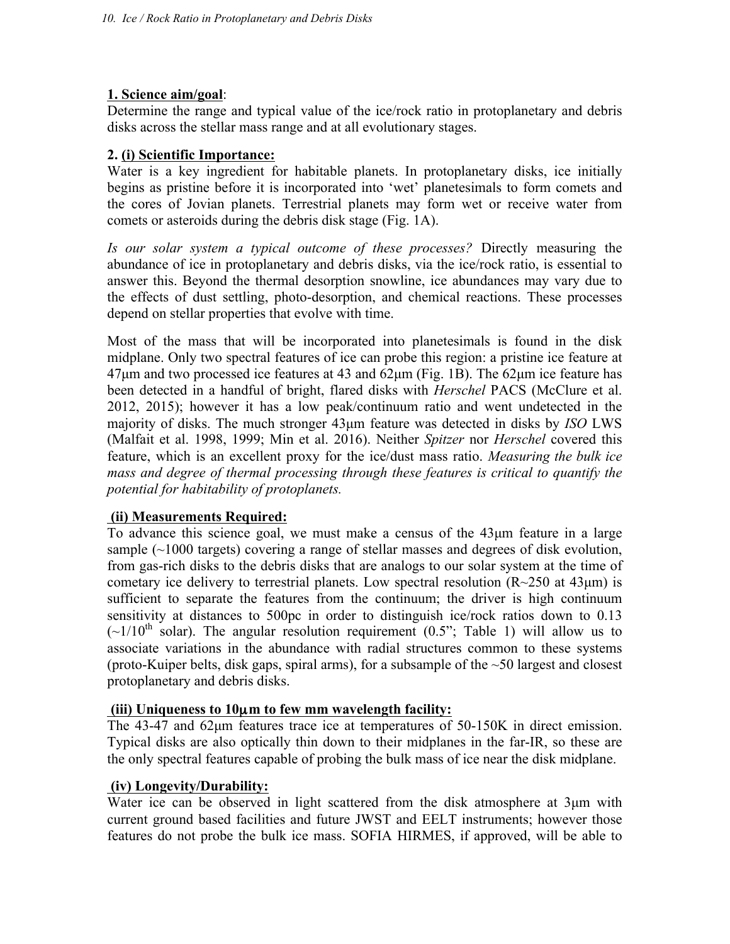### **1. Science aim/goal**:

Determine the range and typical value of the ice/rock ratio in protoplanetary and debris disks across the stellar mass range and at all evolutionary stages.

### **2. (i) Scientific Importance:**

Water is a key ingredient for habitable planets. In protoplanetary disks, ice initially begins as pristine before it is incorporated into 'wet' planetesimals to form comets and the cores of Jovian planets. Terrestrial planets may form wet or receive water from comets or asteroids during the debris disk stage (Fig. 1A).

*Is our solar system a typical outcome of these processes?* Directly measuring the abundance of ice in protoplanetary and debris disks, via the ice/rock ratio, is essential to answer this. Beyond the thermal desorption snowline, ice abundances may vary due to the effects of dust settling, photo-desorption, and chemical reactions. These processes depend on stellar properties that evolve with time.

Most of the mass that will be incorporated into planetesimals is found in the disk midplane. Only two spectral features of ice can probe this region: a pristine ice feature at  $47\mu$ m and two processed ice features at 43 and  $62\mu$ m (Fig. 1B). The  $62\mu$ m ice feature has been detected in a handful of bright, flared disks with *Herschel* PACS (McClure et al. 2012, 2015); however it has a low peak/continuum ratio and went undetected in the majority of disks. The much stronger 43µm feature was detected in disks by *ISO* LWS (Malfait et al. 1998, 1999; Min et al. 2016). Neither *Spitzer* nor *Herschel* covered this feature, which is an excellent proxy for the ice/dust mass ratio. *Measuring the bulk ice mass and degree of thermal processing through these features is critical to quantify the potential for habitability of protoplanets.*

### **(ii) Measurements Required:**

To advance this science goal, we must make a census of the 43µm feature in a large sample (~1000 targets) covering a range of stellar masses and degrees of disk evolution, from gas-rich disks to the debris disks that are analogs to our solar system at the time of cometary ice delivery to terrestrial planets. Low spectral resolution  $(R\sim 250$  at  $43\,\mu m)$  is sufficient to separate the features from the continuum; the driver is high continuum sensitivity at distances to 500pc in order to distinguish ice/rock ratios down to 0.13  $({\sim}1/10^{th}$  solar). The angular resolution requirement (0.5"; Table 1) will allow us to associate variations in the abundance with radial structures common to these systems (proto-Kuiper belts, disk gaps, spiral arms), for a subsample of the  $\sim 50$  largest and closest protoplanetary and debris disks.

# **(iii) Uniqueness to 10**µ**m to few mm wavelength facility:**

The 43-47 and 62µm features trace ice at temperatures of 50-150K in direct emission. Typical disks are also optically thin down to their midplanes in the far-IR, so these are the only spectral features capable of probing the bulk mass of ice near the disk midplane.

## **(iv) Longevity/Durability:**

Water ice can be observed in light scattered from the disk atmosphere at  $3\mu m$  with current ground based facilities and future JWST and EELT instruments; however those features do not probe the bulk ice mass. SOFIA HIRMES, if approved, will be able to